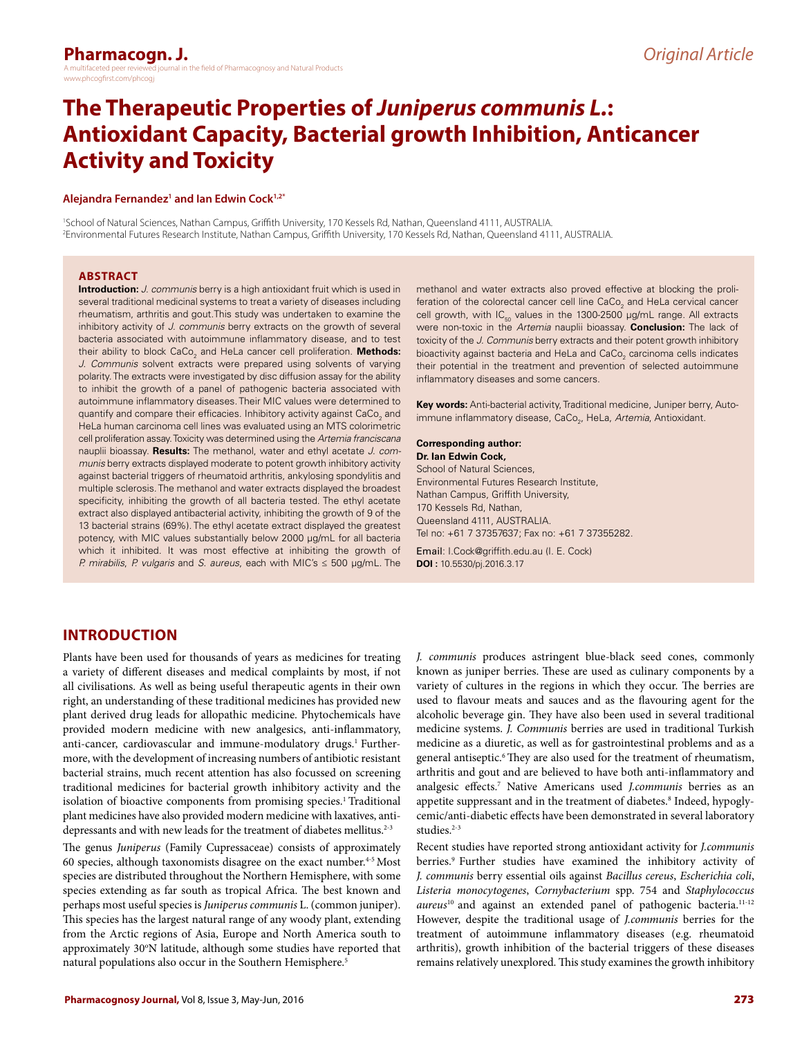# **The Therapeutic Properties of** *Juniperus communis L.***: Antioxidant Capacity, Bacterial growth Inhibition, Anticancer Activity and Toxicity**

#### **Alejandra Fernandez1 and Ian Edwin Cock1,2\***

1 School of Natural Sciences, Nathan Campus, Griffith University, 170 Kessels Rd, Nathan, Queensland 4111, AUSTRALIA. 2 Environmental Futures Research Institute, Nathan Campus, Griffith University, 170 Kessels Rd, Nathan, Queensland 4111, AUSTRALIA.

#### **ABSTRACT**

**Introduction:** *J. communis* berry is a high antioxidant fruit which is used in several traditional medicinal systems to treat a variety of diseases including rheumatism, arthritis and gout*.*This study was undertaken to examine the inhibitory activity of *J. communis* berry extracts on the growth of several bacteria associated with autoimmune inflammatory disease, and to test their ability to block CaCo<sub>2</sub> and HeLa cancer cell proliferation. **Methods:** *J. Communis* solvent extracts were prepared using solvents of varying polarity. The extracts were investigated by disc diffusion assay for the ability to inhibit the growth of a panel of pathogenic bacteria associated with autoimmune inflammatory diseases. Their MIC values were determined to quantify and compare their efficacies. Inhibitory activity against  $\text{CaCo}_{\text{2}}$  and HeLa human carcinoma cell lines was evaluated using an MTS colorimetric cell proliferation assay. Toxicity was determined using the *Artemia franciscana* nauplii bioassay. **Results:** The methanol, water and ethyl acetate *J. communis* berry extracts displayed moderate to potent growth inhibitory activity against bacterial triggers of rheumatoid arthritis, ankylosing spondylitis and multiple sclerosis. The methanol and water extracts displayed the broadest specificity, inhibiting the growth of all bacteria tested. The ethyl acetate extract also displayed antibacterial activity, inhibiting the growth of 9 of the 13 bacterial strains (69%). The ethyl acetate extract displayed the greatest potency, with MIC values substantially below 2000 µg/mL for all bacteria which it inhibited. It was most effective at inhibiting the growth of *P. mirabilis*, *P. vulgaris* and *S. aureus*, each with MIC's ≤ 500 µg/mL. The

methanol and water extracts also proved effective at blocking the proliferation of the colorectal cancer cell line CaCo $_{_2}$  and HeLa cervical cancer cell growth, with  $IC_{50}$  values in the 1300-2500  $\mu$ g/mL range. All extracts were non-toxic in the *Artemia* nauplii bioassay. **Conclusion:** The lack of toxicity of the *J. Communis* berry extracts and their potent growth inhibitory bioactivity against bacteria and HeLa and CaCo $_2$  carcinoma cells indicates their potential in the treatment and prevention of selected autoimmune inflammatory diseases and some cancers.

**Key words:** Anti-bacterial activity, Traditional medicine, Juniper berry, Autoimmune inflammatory disease, CaCo<sub>2</sub>, HeLa, *Artemia*, Antioxidant.

#### **Corresponding author: Dr. Ian Edwin Cock,** School of Natural Sciences Environmental Futures Research Institute, Nathan Campus, Griffith University, 170 Kessels Rd, Nathan, Queensland 4111, AUSTRALIA. Tel no: +61 7 37357637; Fax no: +61 7 37355282.

Email: [I.Cock@griffith.edu.au](mailto:I.Cock@griffith.edu.au) (I. E. Cock) **DOI :** 10.5530/pj.2016.3.17

# **INTRODUCTION**

Plants have been used for thousands of years as medicines for treating a variety of different diseases and medical complaints by most, if not all civilisations. As well as being useful therapeutic agents in their own right, an understanding of these traditional medicines has provided new plant derived drug leads for allopathic medicine. Phytochemicals have provided modern medicine with new analgesics, anti-inflammatory, anti-cancer, cardiovascular and immune-modulatory drugs.<sup>1</sup> Furthermore, with the development of increasing numbers of antibiotic resistant bacterial strains, much recent attention has also focussed on screening traditional medicines for bacterial growth inhibitory activity and the isolation of bioactive components from promising species.<sup>1</sup> Traditional plant medicines have also provided modern medicine with laxatives, antidepressants and with new leads for the treatment of diabetes mellitus.<sup>2-3</sup>

The genus *Juniperus* (Family Cupressaceae) consists of approximately 60 species, although taxonomists disagree on the exact number.4-5 Most species are distributed throughout the Northern Hemisphere, with some species extending as far south as tropical Africa. The best known and perhaps most useful species is *Juniperus communis* L. (common juniper). This species has the largest natural range of any woody plant, extending from the Arctic regions of Asia, Europe and North America south to approximately 30°N latitude, although some studies have reported that natural populations also occur in the Southern Hemisphere.<sup>5</sup>

*J. communis* produces astringent blue-black seed cones, commonly known as juniper berries. These are used as culinary components by a variety of cultures in the regions in which they occur. The berries are used to flavour meats and sauces and as the flavouring agent for the alcoholic beverage gin. They have also been used in several traditional medicine systems. *J. Communis* berries are used in traditional Turkish medicine as a diuretic, as well as for gastrointestinal problems and as a general antiseptic.<sup>6</sup> They are also used for the treatment of rheumatism, arthritis and gout and are believed to have both anti-inflammatory and analgesic effects.7 Native Americans used *J.communis* berries as an appetite suppressant and in the treatment of diabetes.<sup>8</sup> Indeed, hypoglycemic/anti-diabetic effects have been demonstrated in several laboratory studies.<sup>2-3</sup>

Recent studies have reported strong antioxidant activity for *J.communis*  berries.<sup>9</sup> Further studies have examined the inhibitory activity of *J. communis* berry essential oils against *Bacillus cereus*, *Escherichia coli*, *Listeria monocytogenes*, *Cornybacterium* spp. 754 and *Staphylococcus aureus*10 and against an extended panel of pathogenic bacteria.11-12 However, despite the traditional usage of *J.communis* berries for the treatment of autoimmune inflammatory diseases (e.g. rheumatoid arthritis), growth inhibition of the bacterial triggers of these diseases remains relatively unexplored. This study examines the growth inhibitory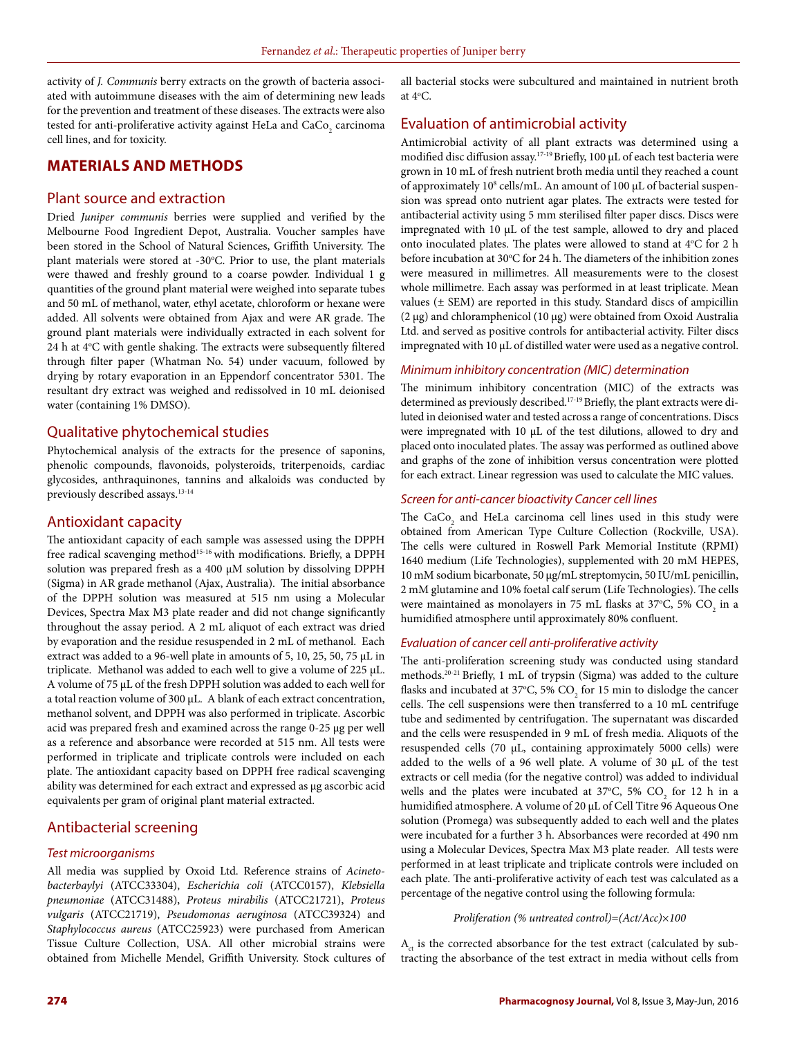activity of *J. Communis* berry extracts on the growth of bacteria associated with autoimmune diseases with the aim of determining new leads for the prevention and treatment of these diseases. The extracts were also tested for anti-proliferative activity against HeLa and  $\rm CaCo_{2}$  carcinoma cell lines, and for toxicity.

# **MATERIALS AND METHODS**

### Plant source and extraction

Dried *Juniper communis* berries were supplied and verified by the Melbourne Food Ingredient Depot, Australia. Voucher samples have been stored in the School of Natural Sciences, Griffith University. The plant materials were stored at -30°C. Prior to use, the plant materials were thawed and freshly ground to a coarse powder. Individual 1 g quantities of the ground plant material were weighed into separate tubes and 50 mL of methanol, water, ethyl acetate, chloroform or hexane were added. All solvents were obtained from Ajax and were AR grade. The ground plant materials were individually extracted in each solvent for 24 h at 4°C with gentle shaking. The extracts were subsequently filtered through filter paper (Whatman No. 54) under vacuum, followed by drying by rotary evaporation in an Eppendorf concentrator 5301. The resultant dry extract was weighed and redissolved in 10 mL deionised water (containing 1% DMSO).

### Qualitative phytochemical studies

Phytochemical analysis of the extracts for the presence of saponins, phenolic compounds, flavonoids, polysteroids, triterpenoids, cardiac glycosides, anthraquinones, tannins and alkaloids was conducted by previously described assays.13-14

# Antioxidant capacity

The antioxidant capacity of each sample was assessed using the DPPH free radical scavenging method<sup>15-16</sup> with modifications. Briefly, a DPPH solution was prepared fresh as a 400 µM solution by dissolving DPPH (Sigma) in AR grade methanol (Ajax, Australia). The initial absorbance of the DPPH solution was measured at 515 nm using a Molecular Devices, Spectra Max M3 plate reader and did not change significantly throughout the assay period. A 2 mL aliquot of each extract was dried by evaporation and the residue resuspended in 2 mL of methanol. Each extract was added to a 96-well plate in amounts of 5, 10, 25, 50, 75 µL in triplicate. Methanol was added to each well to give a volume of 225 µL. A volume of 75 µL of the fresh DPPH solution was added to each well for a total reaction volume of 300 µL. A blank of each extract concentration, methanol solvent, and DPPH was also performed in triplicate. Ascorbic acid was prepared fresh and examined across the range 0-25 µg per well as a reference and absorbance were recorded at 515 nm. All tests were performed in triplicate and triplicate controls were included on each plate. The antioxidant capacity based on DPPH free radical scavenging ability was determined for each extract and expressed as µg ascorbic acid equivalents per gram of original plant material extracted.

# Antibacterial screening

#### *Test microorganisms*

All media was supplied by Oxoid Ltd. Reference strains of *Acinetobacterbaylyi* (ATCC33304), *Escherichia coli* (ATCC0157), *Klebsiella pneumoniae* (ATCC31488), *Proteus mirabilis* (ATCC21721), *Proteus vulgaris* (ATCC21719), *Pseudomonas aeruginosa* (ATCC39324) and *Staphylococcus aureus* (ATCC25923) were purchased from American Tissue Culture Collection, USA. All other microbial strains were obtained from Michelle Mendel, Griffith University. Stock cultures of all bacterial stocks were subcultured and maintained in nutrient broth at  $4^{\circ}$ C.

# Evaluation of antimicrobial activity

Antimicrobial activity of all plant extracts was determined using a modified disc diffusion assay.<sup>17-19</sup> Briefly, 100 µL of each test bacteria were grown in 10 mL of fresh nutrient broth media until they reached a count of approximately 10<sup>8</sup> cells/mL. An amount of 100 µL of bacterial suspension was spread onto nutrient agar plates. The extracts were tested for antibacterial activity using 5 mm sterilised filter paper discs. Discs were impregnated with 10 µL of the test sample, allowed to dry and placed onto inoculated plates. The plates were allowed to stand at 4°C for 2 h before incubation at  $30^{\circ}$ C for 24 h. The diameters of the inhibition zones were measured in millimetres. All measurements were to the closest whole millimetre. Each assay was performed in at least triplicate. Mean values (± SEM) are reported in this study. Standard discs of ampicillin (2 µg) and chloramphenicol (10 µg) were obtained from Oxoid Australia Ltd. and served as positive controls for antibacterial activity. Filter discs impregnated with 10 µL of distilled water were used as a negative control.

#### *Minimum inhibitory concentration (MIC) determination*

The minimum inhibitory concentration (MIC) of the extracts was determined as previously described.17-19 Briefly, the plant extracts were diluted in deionised water and tested across a range of concentrations. Discs were impregnated with 10 µL of the test dilutions, allowed to dry and placed onto inoculated plates. The assay was performed as outlined above and graphs of the zone of inhibition versus concentration were plotted for each extract. Linear regression was used to calculate the MIC values.

#### *Screen for anti-cancer bioactivity Cancer cell lines*

The  $\text{CaCo}_{2}$  and HeLa carcinoma cell lines used in this study were obtained from American Type Culture Collection (Rockville, USA). The cells were cultured in Roswell Park Memorial Institute (RPMI) 1640 medium (Life Technologies), supplemented with 20 mM HEPES, 10 mM sodium bicarbonate, 50 µg/mL streptomycin, 50 IU/mL penicillin, 2 mM glutamine and 10% foetal calf serum (Life Technologies). The cells were maintained as monolayers in 75 mL flasks at 37°C, 5%  $\mathrm{CO}_2$  in a humidified atmosphere until approximately 80% confluent.

#### *Evaluation of cancer cell anti-proliferative activity*

The anti-proliferation screening study was conducted using standard methods.20-21 Briefly, 1 mL of trypsin (Sigma) was added to the culture flasks and incubated at 37°C, 5%  $\rm CO_{2}$  for 15 min to dislodge the cancer cells. The cell suspensions were then transferred to a 10 mL centrifuge tube and sedimented by centrifugation. The supernatant was discarded and the cells were resuspended in 9 mL of fresh media. Aliquots of the resuspended cells (70 µL, containing approximately 5000 cells) were added to the wells of a 96 well plate. A volume of 30 µL of the test extracts or cell media (for the negative control) was added to individual wells and the plates were incubated at 37°C, 5%  $CO_2$  for 12 h in a humidified atmosphere. A volume of 20 µL of Cell Titre 96 Aqueous One solution (Promega) was subsequently added to each well and the plates were incubated for a further 3 h. Absorbances were recorded at 490 nm using a Molecular Devices, Spectra Max M3 plate reader. All tests were performed in at least triplicate and triplicate controls were included on each plate. The anti-proliferative activity of each test was calculated as a percentage of the negative control using the following formula:

#### *Proliferation (% untreated control)=(Act/Acc)*×*100*

 $A<sub>ct</sub>$  is the corrected absorbance for the test extract (calculated by subtracting the absorbance of the test extract in media without cells from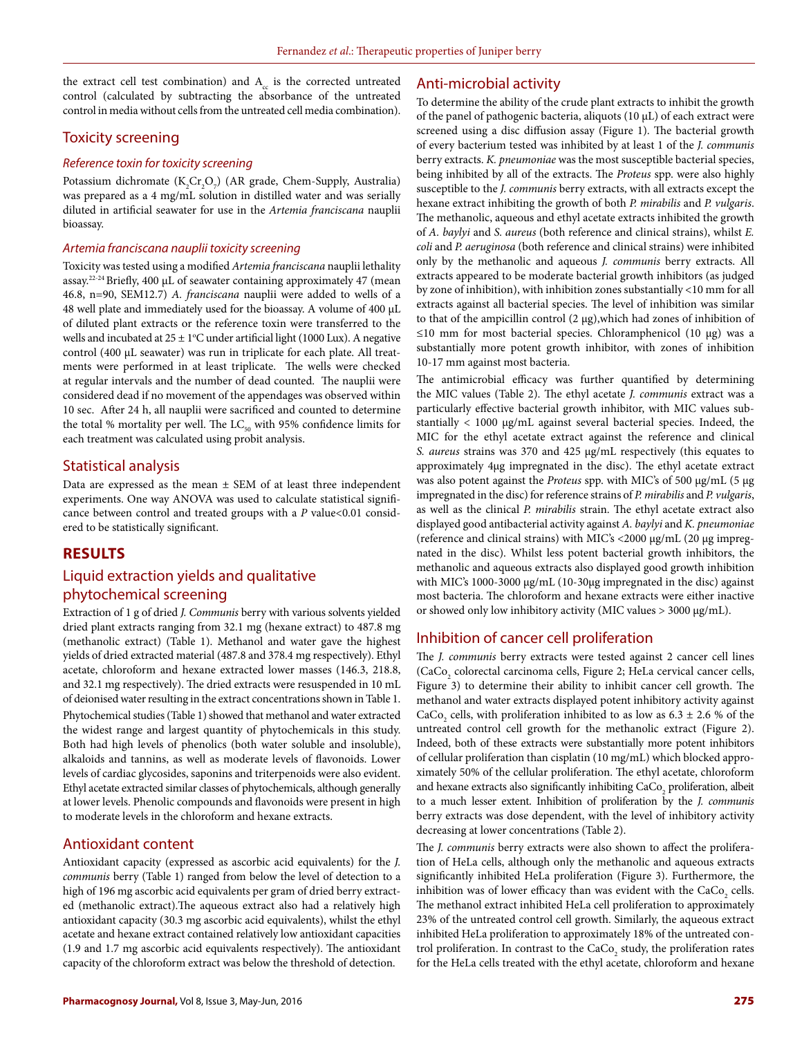the extract cell test combination) and  $A_c$  is the corrected untreated control (calculated by subtracting the absorbance of the untreated control in media without cells from the untreated cell media combination).

# Toxicity screening

### *Reference toxin for toxicity screening*

Potassium dichromate  $(K_2Cr_2O_7)$  (AR grade, Chem-Supply, Australia) was prepared as a 4 mg/mL solution in distilled water and was serially diluted in artificial seawater for use in the *Artemia franciscana* nauplii bioassay.

#### *Artemia franciscana nauplii toxicity screening*

Toxicity was tested using a modified *Artemia franciscana* nauplii lethality assay.<sup>22-24</sup> Briefly, 400 µL of seawater containing approximately 47 (mean 46.8, n=90, SEM12.7) *A. franciscana* nauplii were added to wells of a 48 well plate and immediately used for the bioassay. A volume of 400 µL of diluted plant extracts or the reference toxin were transferred to the wells and incubated at  $25 \pm 1$ <sup>o</sup>C under artificial light (1000 Lux). A negative control (400 µL seawater) was run in triplicate for each plate. All treatments were performed in at least triplicate. The wells were checked at regular intervals and the number of dead counted. The nauplii were considered dead if no movement of the appendages was observed within 10 sec. After 24 h, all nauplii were sacrificed and counted to determine the total % mortality per well. The  $LC_{50}$  with 95% confidence limits for each treatment was calculated using probit analysis.

### Statistical analysis

Data are expressed as the mean ± SEM of at least three independent experiments. One way ANOVA was used to calculate statistical significance between control and treated groups with a *P* value<0.01 considered to be statistically significant.

# **RESULTS**

# Liquid extraction yields and qualitative phytochemical screening

Extraction of 1 g of dried *J. Communis* berry with various solvents yielded dried plant extracts ranging from 32.1 mg (hexane extract) to 487.8 mg (methanolic extract) (Table 1). Methanol and water gave the highest yields of dried extracted material (487.8 and 378.4 mg respectively). Ethyl acetate, chloroform and hexane extracted lower masses (146.3, 218.8, and 32.1 mg respectively). The dried extracts were resuspended in 10 mL of deionised water resulting in the extract concentrations shown in Table 1. Phytochemical studies (Table 1) showed that methanol and water extracted the widest range and largest quantity of phytochemicals in this study. Both had high levels of phenolics (both water soluble and insoluble), alkaloids and tannins, as well as moderate levels of flavonoids. Lower levels of cardiac glycosides, saponins and triterpenoids were also evident. Ethyl acetate extracted similar classes of phytochemicals, although generally at lower levels. Phenolic compounds and flavonoids were present in high to moderate levels in the chloroform and hexane extracts.

## Antioxidant content

Antioxidant capacity (expressed as ascorbic acid equivalents) for the *J. communis* berry (Table 1) ranged from below the level of detection to a high of 196 mg ascorbic acid equivalents per gram of dried berry extracted (methanolic extract).The aqueous extract also had a relatively high antioxidant capacity (30.3 mg ascorbic acid equivalents), whilst the ethyl acetate and hexane extract contained relatively low antioxidant capacities (1.9 and 1.7 mg ascorbic acid equivalents respectively). The antioxidant capacity of the chloroform extract was below the threshold of detection.

# Anti-microbial activity

To determine the ability of the crude plant extracts to inhibit the growth of the panel of pathogenic bacteria, aliquots (10 µL) of each extract were screened using a disc diffusion assay (Figure 1). The bacterial growth of every bacterium tested was inhibited by at least 1 of the *J. communis* berry extracts. *K. pneumoniae* was the most susceptible bacterial species, being inhibited by all of the extracts. The *Proteus* spp. were also highly susceptible to the *J. communis* berry extracts, with all extracts except the hexane extract inhibiting the growth of both *P. mirabilis* and *P. vulgaris*. The methanolic, aqueous and ethyl acetate extracts inhibited the growth of *A. baylyi* and *S. aureus* (both reference and clinical strains), whilst *E. coli* and *P. aeruginosa* (both reference and clinical strains) were inhibited only by the methanolic and aqueous *J. communis* berry extracts. All extracts appeared to be moderate bacterial growth inhibitors (as judged by zone of inhibition), with inhibition zones substantially <10 mm for all extracts against all bacterial species. The level of inhibition was similar to that of the ampicillin control (2 µg),which had zones of inhibition of ≤10 mm for most bacterial species. Chloramphenicol (10 µg) was a substantially more potent growth inhibitor, with zones of inhibition 10-17 mm against most bacteria.

The antimicrobial efficacy was further quantified by determining the MIC values (Table 2). The ethyl acetate *J. communis* extract was a particularly effective bacterial growth inhibitor, with MIC values substantially < 1000 µg/mL against several bacterial species. Indeed, the MIC for the ethyl acetate extract against the reference and clinical *S. aureus* strains was 370 and 425 µg/mL respectively (this equates to approximately 4µg impregnated in the disc). The ethyl acetate extract was also potent against the *Proteus* spp. with MIC's of 500 µg/mL (5 µg impregnated in the disc) for reference strains of *P. mirabilis* and *P. vulgaris*, as well as the clinical *P. mirabilis* strain. The ethyl acetate extract also displayed good antibacterial activity against *A. baylyi* and *K. pneumoniae* (reference and clinical strains) with MIC's <2000 µg/mL (20 µg impregnated in the disc). Whilst less potent bacterial growth inhibitors, the methanolic and aqueous extracts also displayed good growth inhibition with MIC's 1000-3000 μg/mL (10-30μg impregnated in the disc) against most bacteria. The chloroform and hexane extracts were either inactive or showed only low inhibitory activity (MIC values > 3000 µg/mL).

# Inhibition of cancer cell proliferation

The *J. communis* berry extracts were tested against 2 cancer cell lines (CaCo<sub>2</sub> colorectal carcinoma cells, Figure 2; HeLa cervical cancer cells, Figure 3) to determine their ability to inhibit cancer cell growth. The methanol and water extracts displayed potent inhibitory activity against CaCo<sub>2</sub> cells, with proliferation inhibited to as low as  $6.3 \pm 2.6$  % of the untreated control cell growth for the methanolic extract (Figure 2). Indeed, both of these extracts were substantially more potent inhibitors of cellular proliferation than cisplatin (10 mg/mL) which blocked approximately 50% of the cellular proliferation. The ethyl acetate, chloroform and hexane extracts also significantly inhibiting  $\text{CaCo}_{_2}$  proliferation, albeit to a much lesser extent. Inhibition of proliferation by the *J. communis* berry extracts was dose dependent, with the level of inhibitory activity decreasing at lower concentrations (Table 2).

The *J. communis* berry extracts were also shown to affect the proliferation of HeLa cells, although only the methanolic and aqueous extracts significantly inhibited HeLa proliferation (Figure 3). Furthermore, the inhibition was of lower efficacy than was evident with the  $\rm CaCo_{2}$  cells. The methanol extract inhibited HeLa cell proliferation to approximately 23% of the untreated control cell growth. Similarly, the aqueous extract inhibited HeLa proliferation to approximately 18% of the untreated control proliferation. In contrast to the  $\text{CaCo}_{\text{2}}$  study, the proliferation rates for the HeLa cells treated with the ethyl acetate, chloroform and hexane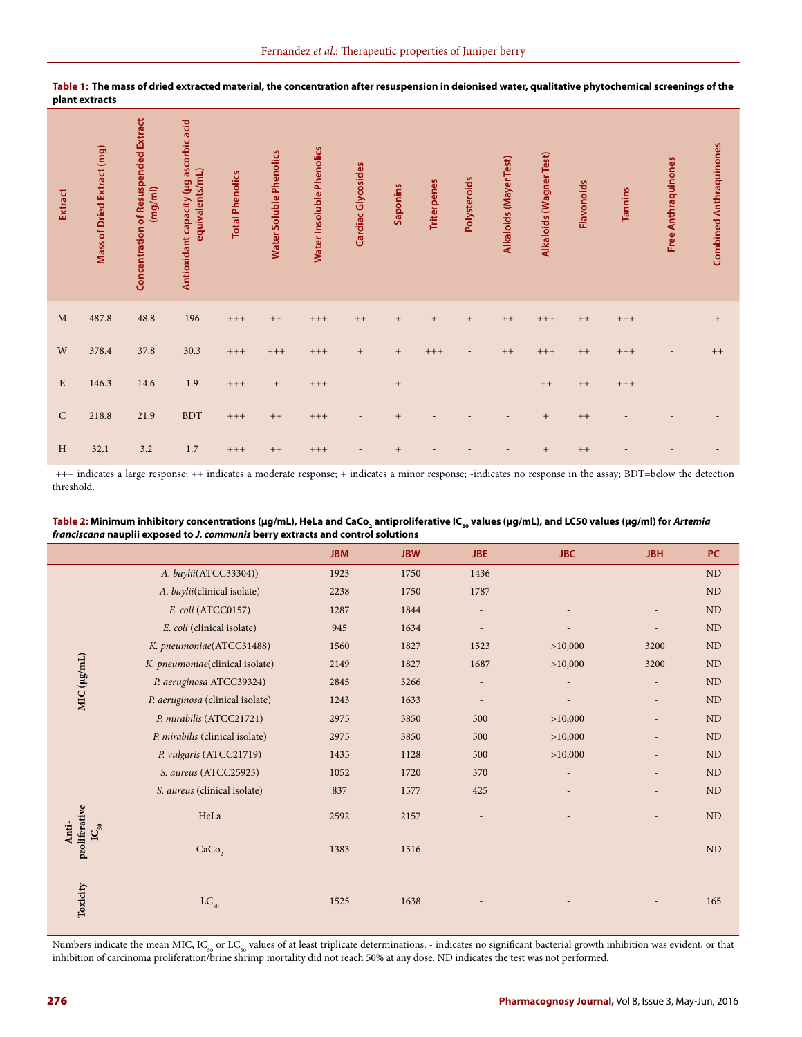| <b>Extract</b> | Mass of Dried Extract (mg) | Concentration of Resuspended Extract<br>(mg/ml) | Antioxidant capacity (µg ascorbic acid<br>equivalents/mL) | <b>Total Phenolics</b> | Water Soluble Phenolics | Water Insoluble Phenolics | Cardiac Glycosides | Saponins                         | <b>Triterpenes</b> | Polysteroids             | Alkaloids (Mayer Test) | Alkaloids (Wagner Test)          | Flavonoids | Tannins | <b>Free Anthraquinones</b> | <b>Combined Anthraquinones</b> |
|----------------|----------------------------|-------------------------------------------------|-----------------------------------------------------------|------------------------|-------------------------|---------------------------|--------------------|----------------------------------|--------------------|--------------------------|------------------------|----------------------------------|------------|---------|----------------------------|--------------------------------|
| M              | 487.8                      | $\bf 48.8$                                      | 196                                                       | $^{+++}$               | $++$                    | $+++$                     | $++$               | $^{+}$                           | $^{+}$             | $\qquad \qquad +$        | $++$                   | $+++$                            | $++$       | $+++$   |                            | $^{\mathrm{+}}$                |
| W              | 378.4                      | 37.8                                            | 30.3                                                      | $+++$                  | $+++$                   | $+++$                     | $^{+}$             | $^{+}$                           | $+++$              | $\overline{\phantom{a}}$ | $++$                   | $+++$                            | $++$       | $+++$   | $\overline{a}$             | $++$                           |
| $\mathbf E$    | 146.3                      | 14.6                                            | 1.9                                                       | $+++$                  | $+$                     | $+++$                     |                    | $\begin{array}{c} + \end{array}$ |                    |                          |                        | $++$                             | $++$       | $+++$   |                            |                                |
| ${\rm C}$      | 218.8                      | 21.9                                            | <b>BDT</b>                                                | $+++$                  | $++$                    | $+++$                     |                    | $\ddot{}$                        |                    |                          |                        | $\begin{array}{c} + \end{array}$ | $++$       |         |                            |                                |
| H              | 32.1                       | 3.2                                             | 1.7                                                       | $+++$                  | $++$                    | $+++$                     |                    | $\ddot{}$                        |                    |                          |                        | $\begin{array}{c} + \end{array}$ | $++$       |         |                            |                                |

**Table 1: The mass of dried extracted material, the concentration after resuspension in deionised water, qualitative phytochemical screenings of the plant extracts**

 +++ indicates a large response; ++ indicates a moderate response; + indicates a minor response; -indicates no response in the assay; BDT=below the detection threshold.

| Table 2: Minimum inhibitory concentrations (µg/mL), HeLa and CaCo, antiproliferative IC <sub>so</sub> values (µg/mL), and LC50 values (µg/ml) for Artemia |
|-----------------------------------------------------------------------------------------------------------------------------------------------------------|
| franciscana nauplii exposed to J. communis berry extracts and control solutions                                                                           |

|                                                       |                                  | <b>JBM</b> | <b>JBW</b> | <b>JBE</b>               | <b>JBC</b> | <b>JBH</b>               | PC        |
|-------------------------------------------------------|----------------------------------|------------|------------|--------------------------|------------|--------------------------|-----------|
|                                                       | A. baylii(ATCC33304))            | 1923       | 1750       | 1436                     |            |                          | <b>ND</b> |
|                                                       | A. baylii(clinical isolate)      | 2238       | 1750       | 1787                     |            |                          | ND        |
|                                                       | E. coli (ATCC0157)               | 1287       | 1844       |                          |            | $\overline{\phantom{a}}$ | ND        |
|                                                       | E. coli (clinical isolate)       | 945        | 1634       | $\overline{\phantom{m}}$ |            | $\overline{\phantom{a}}$ | <b>ND</b> |
|                                                       | K. pneumoniae(ATCC31488)         | 1560       | 1827       | 1523                     | >10,000    | 3200                     | ND        |
| MIC (µg/mL)                                           | K. pneumoniae(clinical isolate)  | 2149       | 1827       | 1687                     | >10,000    | 3200                     | ND        |
|                                                       | P. aeruginosa ATCC39324)         | 2845       | 3266       |                          |            |                          | ND        |
|                                                       | P. aeruginosa (clinical isolate) | 1243       | 1633       | $\overline{a}$           |            | $\overline{a}$           | ND        |
|                                                       | P. mirabilis (ATCC21721)         | 2975       | 3850       | 500                      | >10,000    |                          | <b>ND</b> |
|                                                       | P. mirabilis (clinical isolate)  | 2975       | 3850       | 500                      | >10,000    |                          | ND        |
|                                                       | P. vulgaris (ATCC21719)          | 1435       | 1128       | 500                      | >10,000    |                          | ND        |
|                                                       | S. aureus (ATCC25923)            | 1052       | 1720       | 370                      |            |                          | ND        |
|                                                       | S. aureus (clinical isolate)     | 837        | 1577       | 425                      |            | $\overline{\phantom{a}}$ | $\rm ND$  |
| proliferative<br>Anti-<br>$\mathbf{IC}_{\mathbf{50}}$ | HeLa                             | 2592       | 2157       |                          |            |                          | ND        |
|                                                       | CaCo <sub>2</sub>                | 1383       | 1516       |                          |            |                          | ND        |
| Toxicity                                              | $LC_{50}$                        | 1525       | 1638       |                          |            |                          | 165       |

Numbers indicate the mean MIC, IC<sub>50</sub> or LC<sub>50</sub> values of at least triplicate determinations. - indicates no significant bacterial growth inhibition was evident, or that inhibition of carcinoma proliferation/brine shrimp mortality did not reach 50% at any dose. ND indicates the test was not performed.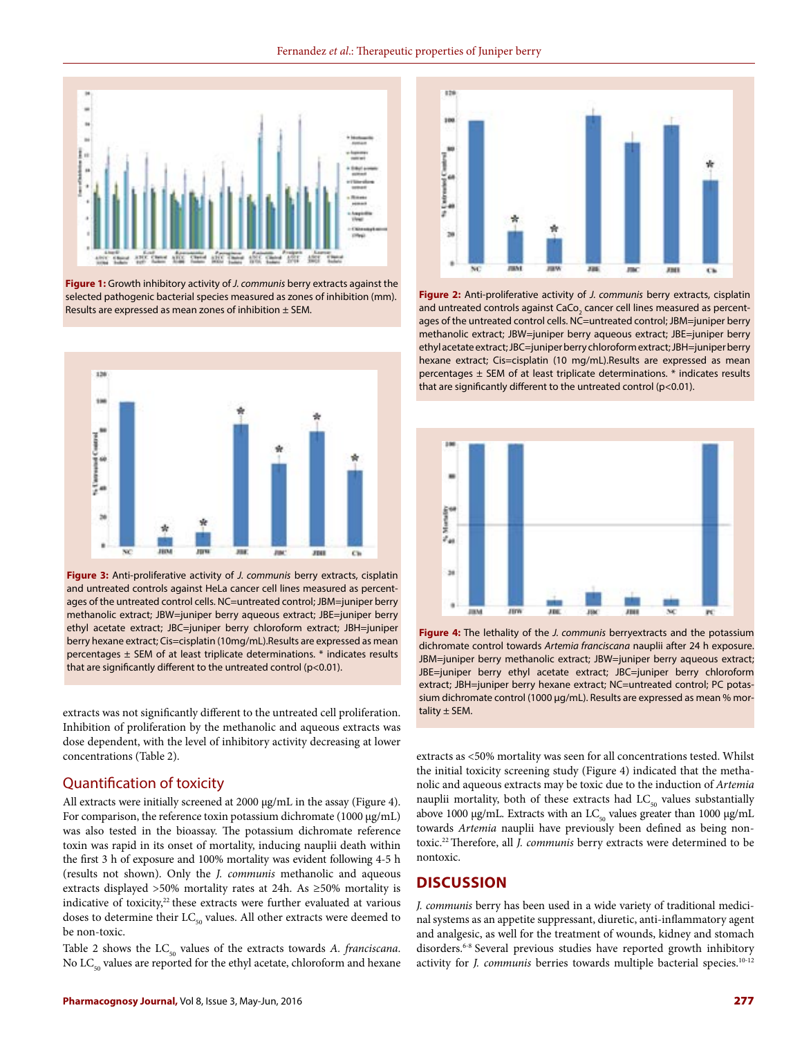

**Figure 1:** Growth inhibitory activity of *J. communis* berry extracts against the selected pathogenic bacterial species measured as zones of inhibition (mm). Results are expressed as mean zones of inhibition ± SEM.



**Figure 3:** Anti-proliferative activity of *J. communis* berry extracts, cisplatin and untreated controls against HeLa cancer cell lines measured as percentages of the untreated control cells. NC=untreated control; JBM=juniper berry methanolic extract; JBW=juniper berry aqueous extract; JBE=juniper berry ethyl acetate extract; JBC=juniper berry chloroform extract; JBH=juniper berry hexane extract; Cis=cisplatin (10mg/mL).Results are expressed as mean percentages ± SEM of at least triplicate determinations. \* indicates results that are significantly different to the untreated control (p<0.01).

extracts was not significantly different to the untreated cell proliferation. tality ± SEM. Inhibition of proliferation by the methanolic and aqueous extracts was dose dependent, with the level of inhibitory activity decreasing at lower concentrations (Table 2).

# Quantification of toxicity

All extracts were initially screened at 2000 µg/mL in the assay (Figure 4). For comparison, the reference toxin potassium dichromate (1000 µg/mL) was also tested in the bioassay. The potassium dichromate reference toxin was rapid in its onset of mortality, inducing nauplii death within the first 3 h of exposure and 100% mortality was evident following 4-5 h (results not shown). Only the *J. communis* methanolic and aqueous extracts displayed >50% mortality rates at 24h. As ≥50% mortality is indicative of toxicity,<sup>22</sup> these extracts were further evaluated at various doses to determine their  $LC_{50}$  values. All other extracts were deemed to be non-toxic.

Table 2 shows the  $LC_{50}$  values of the extracts towards *A. franciscana*. No  $LC_{50}$  values are reported for the ethyl acetate, chloroform and hexane



**Figure 2:** Anti-proliferative activity of *J. communis* berry extracts, cisplatin and untreated controls against CaCo $_{_2}$  cancer cell lines measured as percentages of the untreated control cells. NC=untreated control; JBM=juniper berry methanolic extract; JBW=juniper berry aqueous extract; JBE=juniper berry ethyl acetate extract; JBC=juniper berry chloroform extract; JBH=juniper berry hexane extract; Cis=cisplatin (10 mg/mL).Results are expressed as mean percentages ± SEM of at least triplicate determinations. \* indicates results that are significantly different to the untreated control (p<0.01).



**Figure 4:** The lethality of the *J. communis* berryextracts and the potassium dichromate control towards *Artemia franciscana* nauplii after 24 h exposure. JBM=juniper berry methanolic extract; JBW=juniper berry aqueous extract; JBE=juniper berry ethyl acetate extract; JBC=juniper berry chloroform extract; JBH=juniper berry hexane extract; NC=untreated control; PC potassium dichromate control (1000 µg/mL). Results are expressed as mean % mor-

extracts as <50% mortality was seen for all concentrations tested. Whilst the initial toxicity screening study (Figure 4) indicated that the methanolic and aqueous extracts may be toxic due to the induction of *Artemia*  nauplii mortality, both of these extracts had  $LC_{50}$  values substantially above 1000 µg/mL. Extracts with an  $LC_{50}$  values greater than 1000 µg/mL towards *Artemia* nauplii have previously been defined as being nontoxic.22 Therefore, all *J. communis* berry extracts were determined to be nontoxic.

# **DISCUSSION**

*J. communis* berry has been used in a wide variety of traditional medicinal systems as an appetite suppressant, diuretic, anti-inflammatory agent and analgesic, as well for the treatment of wounds, kidney and stomach disorders.6-8 Several previous studies have reported growth inhibitory activity for *J. communis* berries towards multiple bacterial species.<sup>10-12</sup>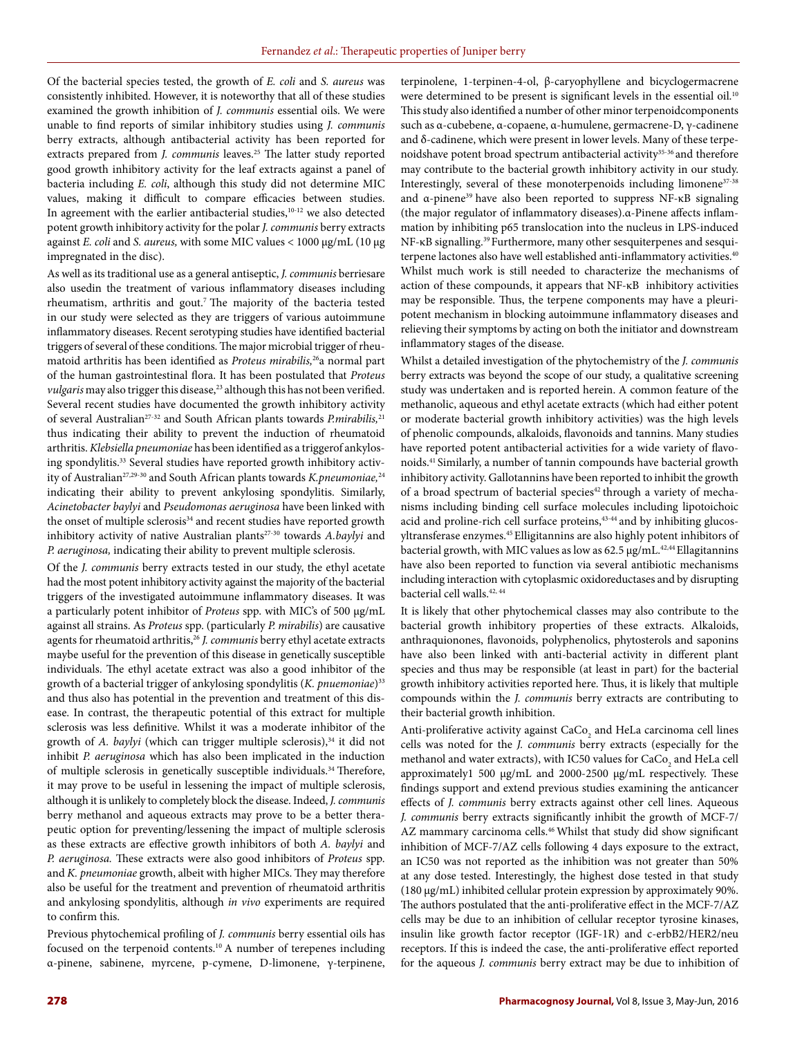Of the bacterial species tested, the growth of *E. coli* and *S. aureus* was consistently inhibited. However, it is noteworthy that all of these studies examined the growth inhibition of *J. communis* essential oils. We were unable to find reports of similar inhibitory studies using *J. communis* berry extracts, although antibacterial activity has been reported for extracts prepared from *J. communis* leaves.<sup>25</sup> The latter study reported good growth inhibitory activity for the leaf extracts against a panel of bacteria including *E. coli*, although this study did not determine MIC values, making it difficult to compare efficacies between studies. In agreement with the earlier antibacterial studies,<sup>10-12</sup> we also detected potent growth inhibitory activity for the polar *J. communis* berry extracts against *E. coli* and *S. aureus,* with some MIC values < 1000 µg/mL (10 µg impregnated in the disc).

As well as its traditional use as a general antiseptic, *J. communis* berriesare also usedin the treatment of various inflammatory diseases including rheumatism, arthritis and gout.<sup>7</sup> The majority of the bacteria tested in our study were selected as they are triggers of various autoimmune inflammatory diseases. Recent serotyping studies have identified bacterial triggers of several of these conditions. The major microbial trigger of rheumatoid arthritis has been identified as *Proteus mirabilis,*26a normal part of the human gastrointestinal flora. It has been postulated that *Proteus vulgaris* may also trigger this disease,<sup>23</sup> although this has not been verified. Several recent studies have documented the growth inhibitory activity of several Australian27-32 and South African plants towards *P.mirabilis,*<sup>21</sup> thus indicating their ability to prevent the induction of rheumatoid arthritis. *Klebsiella pneumoniae* has been identified as a triggerof ankylosing spondylitis.33 Several studies have reported growth inhibitory activity of Australian<sup>27,29-30</sup> and South African plants towards *K.pneumoniae*,<sup>24</sup> indicating their ability to prevent ankylosing spondylitis. Similarly, *Acinetobacter baylyi* and *Pseudomonas aeruginosa* have been linked with the onset of multiple sclerosis<sup>34</sup> and recent studies have reported growth inhibitory activity of native Australian plants<sup>27-30</sup> towards *A.baylyi* and *P. aeruginosa,* indicating their ability to prevent multiple sclerosis.

Of the *J. communis* berry extracts tested in our study, the ethyl acetate had the most potent inhibitory activity against the majority of the bacterial triggers of the investigated autoimmune inflammatory diseases. It was a particularly potent inhibitor of *Proteus* spp. with MIC's of 500 µg/mL against all strains. As *Proteus* spp. (particularly *P. mirabilis*) are causative agents for rheumatoid arthritis,<sup>26</sup> *J. communis* berry ethyl acetate extracts maybe useful for the prevention of this disease in genetically susceptible individuals. The ethyl acetate extract was also a good inhibitor of the growth of a bacterial trigger of ankylosing spondylitis (*K. pnuemoniae*)<sup>33</sup> and thus also has potential in the prevention and treatment of this disease. In contrast, the therapeutic potential of this extract for multiple sclerosis was less definitive. Whilst it was a moderate inhibitor of the growth of *A. baylyi* (which can trigger multiple sclerosis),<sup>34</sup> it did not inhibit *P. aeruginosa* which has also been implicated in the induction of multiple sclerosis in genetically susceptible individuals.<sup>34</sup> Therefore, it may prove to be useful in lessening the impact of multiple sclerosis, although it is unlikely to completely block the disease. Indeed, *J. communis* berry methanol and aqueous extracts may prove to be a better therapeutic option for preventing/lessening the impact of multiple sclerosis as these extracts are effective growth inhibitors of both *A. baylyi* and *P. aeruginosa.* These extracts were also good inhibitors of *Proteus* spp. and *K. pneumoniae* growth, albeit with higher MICs. They may therefore also be useful for the treatment and prevention of rheumatoid arthritis and ankylosing spondylitis, although *in vivo* experiments are required to confirm this.

Previous phytochemical profiling of *J. communis* berry essential oils has focused on the terpenoid contents.10 A number of terepenes including α-pinene, sabinene, myrcene, p-cymene, D-limonene, γ-terpinene, terpinolene, 1-terpinen-4-ol, β-caryophyllene and bicyclogermacrene were determined to be present is significant levels in the essential oil.<sup>10</sup> This study also identified a number of other minor terpenoidcomponents such as α-cubebene, α-copaene, α-humulene, germacrene-D, γ-cadinene and δ-cadinene, which were present in lower levels. Many of these terpenoidshave potent broad spectrum antibacterial activity<sup>35-36</sup> and therefore may contribute to the bacterial growth inhibitory activity in our study. Interestingly, several of these monoterpenoids including limonene $37-38$ and α-pinene<sup>39</sup> have also been reported to suppress NF-κB signaling (the major regulator of inflammatory diseases).α-Pinene affects inflammation by inhibiting p65 translocation into the nucleus in LPS-induced NF-κB signalling.<sup>39</sup> Furthermore, many other sesquiterpenes and sesquiterpene lactones also have well established anti-inflammatory activities.<sup>40</sup> Whilst much work is still needed to characterize the mechanisms of action of these compounds, it appears that NF-κB inhibitory activities may be responsible. Thus, the terpene components may have a pleuripotent mechanism in blocking autoimmune inflammatory diseases and relieving their symptoms by acting on both the initiator and downstream inflammatory stages of the disease.

Whilst a detailed investigation of the phytochemistry of the *J. communis* berry extracts was beyond the scope of our study, a qualitative screening study was undertaken and is reported herein. A common feature of the methanolic, aqueous and ethyl acetate extracts (which had either potent or moderate bacterial growth inhibitory activities) was the high levels of phenolic compounds, alkaloids, flavonoids and tannins. Many studies have reported potent antibacterial activities for a wide variety of flavonoids.41 Similarly, a number of tannin compounds have bacterial growth inhibitory activity. Gallotannins have been reported to inhibit the growth of a broad spectrum of bacterial species<sup>42</sup> through a variety of mechanisms including binding cell surface molecules including lipotoichoic acid and proline-rich cell surface proteins,<sup>43-44</sup> and by inhibiting glucosyltransferase enzymes.45 Elligitannins are also highly potent inhibitors of bacterial growth, with MIC values as low as  $62.5 \mu g/mL$ .<sup>42,44</sup> Ellagitannins have also been reported to function via several antibiotic mechanisms including interaction with cytoplasmic oxidoreductases and by disrupting bacterial cell walls.42, 44

It is likely that other phytochemical classes may also contribute to the bacterial growth inhibitory properties of these extracts. Alkaloids, anthraquionones, flavonoids, polyphenolics, phytosterols and saponins have also been linked with anti-bacterial activity in different plant species and thus may be responsible (at least in part) for the bacterial growth inhibitory activities reported here. Thus, it is likely that multiple compounds within the *J. communis* berry extracts are contributing to their bacterial growth inhibition.

Anti-proliferative activity against  $\rm CaCo_{2}$  and HeLa carcinoma cell lines cells was noted for the *J. communis* berry extracts (especially for the methanol and water extracts), with IC50 values for  $\rm CaCo_{2}$  and HeLa cell approximately1 500 µg/mL and 2000-2500 µg/mL respectively. These findings support and extend previous studies examining the anticancer effects of *J. communis* berry extracts against other cell lines. Aqueous *J. communis* berry extracts significantly inhibit the growth of MCF-7/ AZ mammary carcinoma cells.<sup>46</sup> Whilst that study did show significant inhibition of MCF-7/AZ cells following 4 days exposure to the extract, an IC50 was not reported as the inhibition was not greater than 50% at any dose tested. Interestingly, the highest dose tested in that study (180 µg/mL) inhibited cellular protein expression by approximately 90%. The authors postulated that the anti-proliferative effect in the MCF-7/AZ cells may be due to an inhibition of cellular receptor tyrosine kinases, insulin like growth factor receptor (IGF-1R) and c-erbB2/HER2/neu receptors. If this is indeed the case, the anti-proliferative effect reported for the aqueous *J. communis* berry extract may be due to inhibition of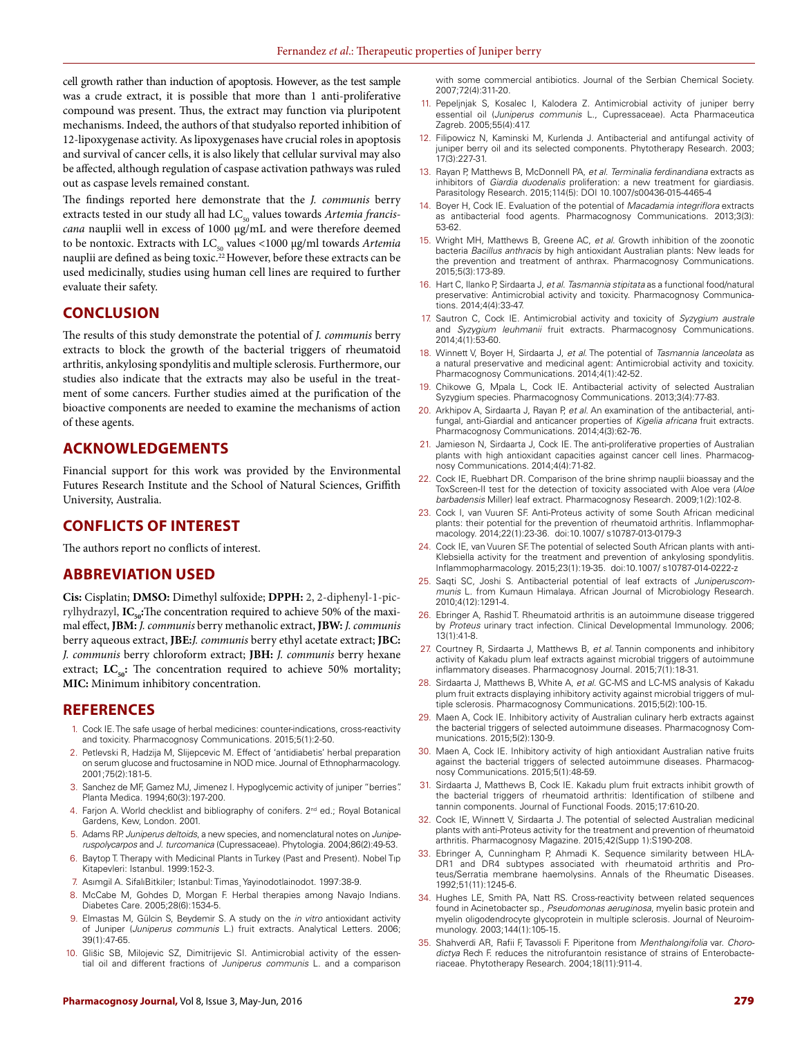cell growth rather than induction of apoptosis. However, as the test sample was a crude extract, it is possible that more than 1 anti-proliferative compound was present. Thus, the extract may function via pluripotent mechanisms. Indeed, the authors of that studyalso reported inhibition of 12-lipoxygenase activity. As lipoxygenases have crucial roles in apoptosis and survival of cancer cells, it is also likely that cellular survival may also be affected, although regulation of caspase activation pathways was ruled out as caspase levels remained constant.

The findings reported here demonstrate that the *J. communis* berry extracts tested in our study all had LC<sub>50</sub> values towards Artemia francis*cana* nauplii well in excess of 1000 µg/mL and were therefore deemed to be nontoxic. Extracts with LC<sub>50</sub> values <1000 μg/ml towards *Artemia* nauplii are defined as being toxic.<sup>22</sup> However, before these extracts can be used medicinally, studies using human cell lines are required to further evaluate their safety.

# **CONCLUSION**

The results of this study demonstrate the potential of *J. communis* berry extracts to block the growth of the bacterial triggers of rheumatoid arthritis, ankylosing spondylitis and multiple sclerosis. Furthermore, our studies also indicate that the extracts may also be useful in the treatment of some cancers. Further studies aimed at the purification of the bioactive components are needed to examine the mechanisms of action of these agents.

### **ACKNOWLEDGEMENTS**

Financial support for this work was provided by the Environmental Futures Research Institute and the School of Natural Sciences, Griffith University, Australia.

# **CONFLICTS OF INTEREST**

The authors report no conflicts of interest.

### **ABBREVIATION USED**

**Cis:** Cisplatin; **DMSO:** Dimethyl sulfoxide; **DPPH:** 2, 2-diphenyl-1-picrylhydrazyl, **IC**<sub>50</sub>: The concentration required to achieve 50% of the maximal effect, **JBM:** *J. communis* berry methanolic extract, **JBW:** *J. communis* berry aqueous extract, **JBE:***J. communis* berry ethyl acetate extract; **JBC:** *J. communis* berry chloroform extract; **JBH:** *J. communis* berry hexane extract;  $LC_{50}$ : The concentration required to achieve 50% mortality; **MIC:** Minimum inhibitory concentration.

### **REFERENCES**

- 1. Cock IE. The safe usage of herbal medicines: counter-indications, cross-reactivity and toxicity. Pharmacognosy Communications. 2015;5(1):2-50.
- 2. Petlevski R, Hadzija M, Slijepcevic M. Effect of 'antidiabetis' herbal preparation on serum glucose and fructosamine in NOD mice. Journal of Ethnopharmacology. 2001;75(2):181-5.
- 3. Sanchez de MF, Gamez MJ, Jimenez I. Hypoglycemic activity of juniper "berries". Planta Medica. 1994;60(3):197-200.
- 4. Farjon A. World checklist and bibliography of conifers. 2<sup>nd</sup> ed.; Royal Botanical Gardens, Kew, London. 2001.
- 5. Adams RP. *Juniperus deltoids*, a new species, and nomenclatural notes on *Juniperuspolycarpos* and *J. turcomanica* (Cupressaceae). Phytologia. 2004;86(2):49-53.
- 6. Baytop T. Therapy with Medicinal Plants in Turkey (Past and Present). Nobel Tıp Kitapevleri: Istanbul. 1999:152-3.
- 7. Asımgil A. SifalıBitkiler; Istanbul: Timas¸ Yayinodotlainodot. 1997:38-9.
- 8. McCabe M, Gohdes D, Morgan F. Herbal therapies among Navajo Indians. Diabetes Care. 2005;28(6):1534-5.
- 9. Elmastas M, Gülcin S, Beydemir S. A study on the *in vitro* antioxidant activity of Juniper (*Juniperus communis* L.) fruit extracts. Analytical Letters. 2006; 39(1):47-65.
- 10. Glišic SB, Milojevic SZ, Dimitrijevic SI. Antimicrobial activity of the essential oil and different fractions of *Juniperus communis* L. and a comparison

with some commercial antibiotics. Journal of the Serbian Chemical Society. 2007;72(4):311-20.

- 11. Pepeljnjak S, Kosalec I, Kalodera Z. Antimicrobial activity of juniper berry essential oil (*Juniperus communis* L., Cupressaceae). Acta Pharmaceutica Zagreb. 2005;55(4):417.
- 12. Filipowicz N, Kaminski M, Kurlenda J. Antibacterial and antifungal activity of juniper berry oil and its selected components. Phytotherapy Research. 2003; 17(3):227-31.
- 13. Rayan P, Matthews B, McDonnell PA, *et al*. *Terminalia ferdinandiana* extracts as inhibitors of *Giardia duodenalis* proliferation: a new treatment for giardiasis. Parasitology Research. 2015;114(5): DOI 10.1007/s00436-015-4465-4
- 14. Boyer H, Cock IE. Evaluation of the potential of *Macadamia integriflora* extracts as antibacterial food agents. Pharmacognosy Communications. 2013;3(3): 53-62.
- 15. Wright MH, Matthews B, Greene AC, *et al*. Growth inhibition of the zoonotic bacteria *Bacillus anthracis* by high antioxidant Australian plants: New leads for the prevention and treatment of anthrax. Pharmacognosy Communications. 2015;5(3):173-89.
- 16. Hart C, Ilanko P, Sirdaarta J, *et al*. *Tasmannia stipitata* as a functional food/natural preservative: Antimicrobial activity and toxicity. Pharmacognosy Communications. 2014;4(4):33-47.
- 17. Sautron C, Cock IE. Antimicrobial activity and toxicity of *Syzygium australe* and *Syzygium leuhmanii* fruit extracts. Pharmacognosy Communications. 2014;4(1):53-60.
- 18. Winnett V, Boyer H, Sirdaarta J, *et al*. The potential of *Tasmannia lanceolata* as a natural preservative and medicinal agent: Antimicrobial activity and toxicity. Pharmacognosy Communications. 2014;4(1):42-52.
- Chikowe G, Mpala L, Cock IE. Antibacterial activity of selected Australian Syzygium species. Pharmacognosy Communications. 2013;3(4):77-83.
- 20. Arkhipov A, Sirdaarta J, Rayan P, *et al*. An examination of the antibacterial, antifungal, anti-Giardial and anticancer properties of *Kigelia africana* fruit extracts. Pharmacognosy Communications. 2014;4(3):62-76.
- 21. Jamieson N, Sirdaarta J, Cock IE. The anti-proliferative properties of Australian plants with high antioxidant capacities against cancer cell lines. Pharmacognosy Communications. 2014;4(4):71-82.
- 22. Cock IE, Ruebhart DR. Comparison of the brine shrimp nauplii bioassay and the ToxScreen-II test for the detection of toxicity associated with Aloe vera (*Aloe barbadensis* Miller) leaf extract. Pharmacognosy Research. 2009;1(2):102-8.
- 23. Cock I, van Vuuren SF. Anti-Proteus activity of some South African medicinal plants: their potential for the prevention of rheumatoid arthritis. Inflammopharmacology. 2014;22(1):23-36. doi:10.1007/ s10787-013-0179-3
- 24. Cock IE, van Vuuren SF. The potential of selected South African plants with anti-Klebsiella activity for the treatment and prevention of ankylosing spondylitis. Inflammopharmacology. 2015;23(1):19-35. doi:10.1007/ s10787-014-0222-z
- 25. Saqti SC, Joshi S. Antibacterial potential of leaf extracts of *Juniperuscommunis* L. from Kumaun Himalaya. African Journal of Microbiology Research. 2010;4(12):1291-4.
- 26. Ebringer A, Rashid T. Rheumatoid arthritis is an autoimmune disease triggered by *Proteus* urinary tract infection. Clinical Developmental Immunology. 2006; 13(1):41-8.
- 27. Courtney R, Sirdaarta J, Matthews B, *et al*. Tannin components and inhibitory activity of Kakadu plum leaf extracts against microbial triggers of autoimmune inflammatory diseases. Pharmacognosy Journal. 2015;7(1):18-31.
- 28. Sirdaarta J, Matthews B, White A, *et al*. GC-MS and LC-MS analysis of Kakadu plum fruit extracts displaying inhibitory activity against microbial triggers of multiple sclerosis. Pharmacognosy Communications. 2015;5(2):100-15.
- 29. Maen A, Cock IE. Inhibitory activity of Australian culinary herb extracts against the bacterial triggers of selected autoimmune diseases. Pharmacognosy Communications. 2015;5(2):130-9.
- 30. Maen A, Cock IE. Inhibitory activity of high antioxidant Australian native fruits against the bacterial triggers of selected autoimmune diseases. Pharmacognosy Communications. 2015;5(1):48-59.
- 31. Sirdaarta J, Matthews B, Cock IE. Kakadu plum fruit extracts inhibit growth of the bacterial triggers of rheumatoid arthritis: Identification of stilbene and tannin components. Journal of Functional Foods. 2015;17:610-20.
- 32. Cock IE, Winnett V, Sirdaarta J. The potential of selected Australian medicinal plants with anti-Proteus activity for the treatment and prevention of rheumatoid arthritis. Pharmacognosy Magazine. 2015;42(Supp 1):S190-208.
- 33. Ebringer A, Cunningham P, Ahmadi K. Sequence similarity between HLA-DR1 and DR4 subtypes associated with rheumatoid arthritis and Proteus/Serratia membrane haemolysins. Annals of the Rheumatic Diseases. 1992;51(11):1245-6.
- 34. Hughes LE, Smith PA, Natt RS. Cross-reactivity between related sequences found in Acinetobacter sp., *Pseudomonas aeruginosa*, myelin basic protein and myelin oligodendrocyte glycoprotein in multiple sclerosis. Journal of Neuroimmunology. 2003;144(1):105-15.
- 35. Shahverdi AR, Rafii F, Tavassoli F. Piperitone from *Menthalongifolia* var. *Chorodictya* Rech F. reduces the nitrofurantoin resistance of strains of Enterobacteriaceae. Phytotherapy Research. 2004;18(11):911-4.